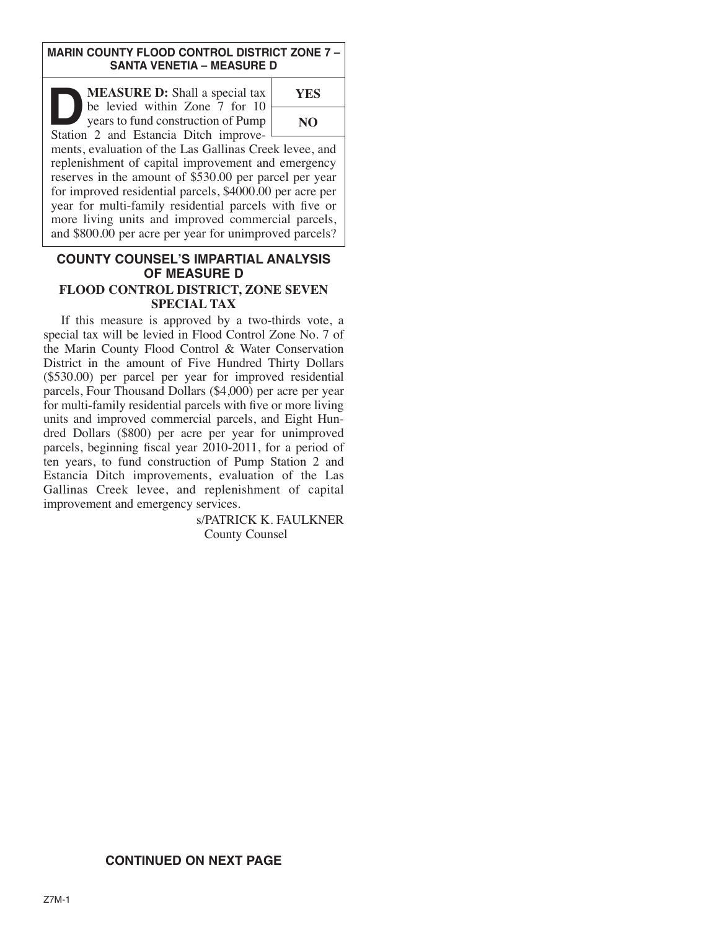#### **MARIN COUNTY FLOOD CONTROL DISTRICT ZONE 7 – SANTA VENETIA – MEASURE D**

**DEASURE D:** Shall a special tax<br>be levied within Zone 7 for 10<br>years to fund construction of Pump<br>Station 2 and Estancia Ditch improvebe levied within Zone 7 for 10 years to fund construction of Pump Station 2 and Estancia Ditch improve-



ments, evaluation of the Las Gallinas Creek levee, and replenishment of capital improvement and emergency reserves in the amount of \$530.00 per parcel per year for improved residential parcels, \$4000.00 per acre per year for multi-family residential parcels with five or more living units and improved commercial parcels, and \$800.00 per acre per year for unimproved parcels?

### **COUNTY COUNSEL'S IMPARTIAL ANALYSIS OF MEASURE D FLOOD CONTROL DISTRICT, ZONE SEVEN SPECIAL TAX**

 If this measure is approved by a two-thirds vote, a special tax will be levied in Flood Control Zone No. 7 of the Marin County Flood Control & Water Conservation District in the amount of Five Hundred Thirty Dollars (\$530.00) per parcel per year for improved residential parcels, Four Thousand Dollars (\$4,000) per acre per year for multi-family residential parcels with five or more living units and improved commercial parcels, and Eight Hundred Dollars (\$800) per acre per year for unimproved parcels, beginning fiscal year 2010-2011, for a period of ten years, to fund construction of Pump Station 2 and Estancia Ditch improvements, evaluation of the Las Gallinas Creek levee, and replenishment of capital improvement and emergency services.

s/PATRICK K. FAULKNER County Counsel

# **CONTINUED ON NEXT PAGE**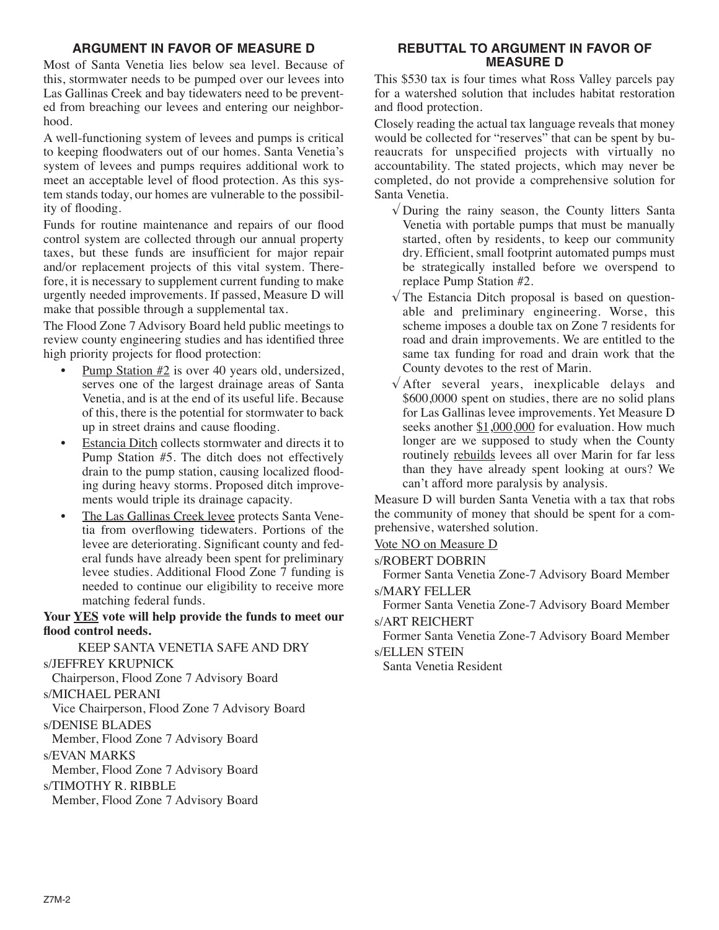## **ARGUMENT IN FAVOR OF MEASURE D**

Most of Santa Venetia lies below sea level. Because of this, stormwater needs to be pumped over our levees into Las Gallinas Creek and bay tidewaters need to be prevented from breaching our levees and entering our neighborhood.

A well-functioning system of levees and pumps is critical to keeping floodwaters out of our homes. Santa Venetia's system of levees and pumps requires additional work to meet an acceptable level of flood protection. As this system stands today, our homes are vulnerable to the possibility of flooding.

Funds for routine maintenance and repairs of our flood control system are collected through our annual property taxes, but these funds are insufficient for major repair and/or replacement projects of this vital system. Therefore, it is necessary to supplement current funding to make urgently needed improvements. If passed, Measure D will make that possible through a supplemental tax.

The Flood Zone 7 Advisory Board held public meetings to review county engineering studies and has identified three high priority projects for flood protection:

- Pump Station #2 is over 40 years old, undersized, serves one of the largest drainage areas of Santa Venetia, and is at the end of its useful life. Because of this, there is the potential for stormwater to back up in street drains and cause flooding.
- Estancia Ditch collects stormwater and directs it to Pump Station #5. The ditch does not effectively drain to the pump station, causing localized flooding during heavy storms. Proposed ditch improvements would triple its drainage capacity.
- The Las Gallinas Creek levee protects Santa Venetia from overflowing tidewaters. Portions of the levee are deteriorating. Significant county and federal funds have already been spent for preliminary levee studies. Additional Flood Zone 7 funding is needed to continue our eligibility to receive more matching federal funds.

### **Your YES vote will help provide the funds to meet our flood control needs.**

KEEP SANTA VENETIA SAFE AND DRY s/JEFFREY KRUPNICK Chairperson, Flood Zone 7 Advisory Board s/MICHAEL PERANI Vice Chairperson, Flood Zone 7 Advisory Board s/DENISE BLADES Member, Flood Zone 7 Advisory Board s/EVAN MARKS Member, Flood Zone 7 Advisory Board s/TIMOTHY R. RIBBLE Member, Flood Zone 7 Advisory Board

## **REBUTTAL TO ARGUMENT IN FAVOR OF MEASURE D**

This \$530 tax is four times what Ross Valley parcels pay for a watershed solution that includes habitat restoration and flood protection.

Closely reading the actual tax language reveals that money would be collected for "reserves" that can be spent by bureau crats for unspecified projects with virtually no accountability. The stated projects, which may never be completed, do not provide a comprehensive solution for Santa Venetia.

- $\sqrt{}$  During the rainy season, the County litters Santa Venetia with portable pumps that must be manually started, often by residents, to keep our community dry. Efficient, small footprint automated pumps must be strategically installed before we overspend to replace Pump Station #2.
- $\sqrt{T}$  The Estancia Ditch proposal is based on questionable and preliminary engineering. Worse, this scheme imposes a double tax on Zone 7 residents for road and drain improvements. We are entitled to the same tax funding for road and drain work that the County devotes to the rest of Marin.
- $\sqrt{x}$  After several years, inexplicable delays and \$600,0000 spent on studies, there are no solid plans for Las Gallinas levee improvements. Yet Measure D seeks another  $$1,000,000$  for evaluation. How much longer are we supposed to study when the County routinely rebuilds levees all over Marin for far less than they have already spent looking at ours? We can't afford more paralysis by analysis.

Measure D will burden Santa Venetia with a tax that robs the community of money that should be spent for a comprehensive, watershed solution.

Vote NO on Measure D

## s/ROBERT DOBRIN

Former Santa Venetia Zone-7 Advisory Board Member s/MARY FELLER

Former Santa Venetia Zone-7 Advisory Board Member s/ART REICHERT

Former Santa Venetia Zone-7 Advisory Board Member s/ELLEN STEIN

Santa Venetia Resident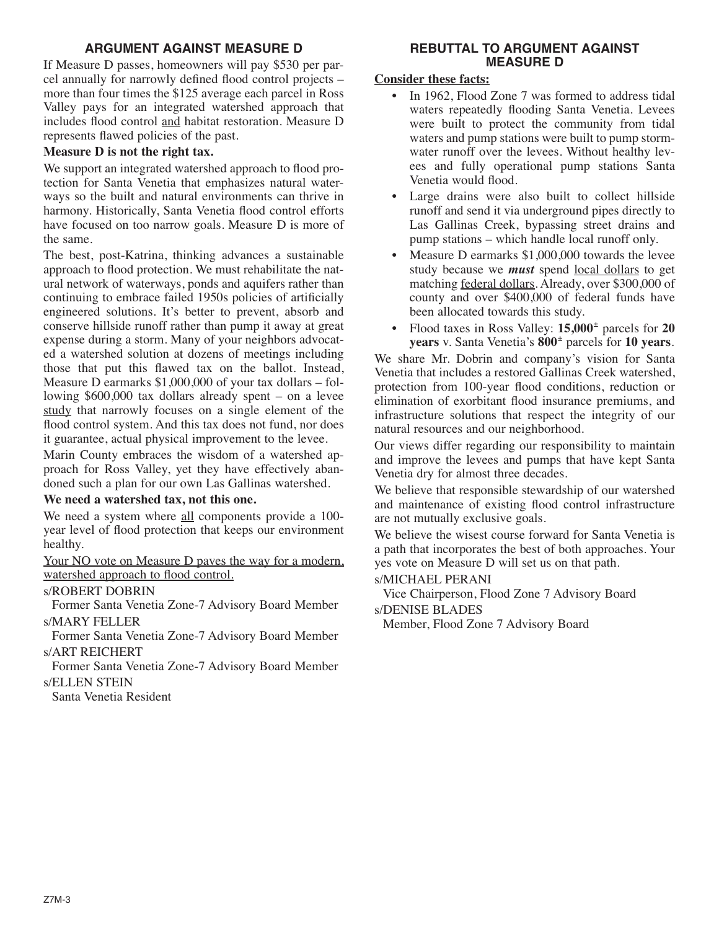## **ARGUMENT AGAINST MEASURE D**

If Measure D passes, homeowners will pay \$530 per parcel annually for narrowly defined flood control projects – more than four times the \$125 average each parcel in Ross Valley pays for an integrated watershed approach that includes flood control and habitat restoration. Measure D represents flawed policies of the past.

# **Measure D is not the right tax.**

We support an integrated watershed approach to flood protection for Santa Venetia that emphasizes natural waterways so the built and natural environments can thrive in harmony. Historically, Santa Venetia flood control efforts have focused on too narrow goals. Measure D is more of the same.

The best, post-Katrina, thinking advances a sustainable approach to flood protection. We must rehabilitate the natural network of waterways, ponds and aquifers rather than continuing to embrace failed 1950s policies of artificially engineered solutions. It's better to prevent, absorb and conserve hillside runoff rather than pump it away at great expense during a storm. Many of your neighbors advocated a watershed solution at dozens of meetings including those that put this flawed tax on the ballot. Instead, Measure D earmarks \$1,000,000 of your tax dollars – following \$600,000 tax dollars already spent – on a levee study that narrowly focuses on a single element of the flood control system. And this tax does not fund, nor does it guarantee, actual physical improvement to the levee.

Marin County embraces the wisdom of a watershed approach for Ross Valley, yet they have effectively abandoned such a plan for our own Las Gallinas watershed.

# **We need a watershed tax, not this one.**

We need a system where all components provide a 100year level of flood protection that keeps our environment healthy.

Your NO vote on Measure D paves the way for a modern, watershed approach to flood control.

s/ROBERT DOBRIN

Former Santa Venetia Zone-7 Advisory Board Member s/MARY FELLER

Former Santa Venetia Zone-7 Advisory Board Member s/ART REICHERT

Former Santa Venetia Zone-7 Advisory Board Member s/ELLEN STEIN

Santa Venetia Resident

## **REBUTTAL TO ARGUMENT AGAINST MEASURE D**

# **Consider these facts:**

- In 1962, Flood Zone 7 was formed to address tidal waters repeatedly flooding Santa Venetia. Levees were built to protect the community from tidal waters and pump stations were built to pump stormwater runoff over the levees. Without healthy levees and fully operational pump stations Santa Venetia would flood.
- Large drains were also built to collect hillside runoff and send it via underground pipes directly to Las Gallinas Creek, bypassing street drains and pump stations – which handle local runoff only.
- Measure D earmarks \$1,000,000 towards the levee study because we *must* spend local dollars to get matching federal dollars. Already, over \$300,000 of county and over \$400,000 of federal funds have been allocated towards this study.
- Flood taxes in Ross Valley: **15,000<sup>±</sup>** parcels for **20 years** v. Santa Venetia's **800**- parcels for **10 years**.

We share Mr. Dobrin and company's vision for Santa Venetia that includes a restored Gallinas Creek watershed. protection from 100-year flood conditions, reduction or elimination of exorbitant flood insurance premiums, and infrastructure solutions that respect the integrity of our natural resources and our neighborhood.

Our views differ regarding our responsibility to maintain and improve the levees and pumps that have kept Santa Venetia dry for almost three decades.

We believe that responsible stewardship of our watershed and maintenance of existing flood control infrastructure are not mutually exclusive goals.

We believe the wisest course forward for Santa Venetia is a path that incorporates the best of both approaches. Your yes vote on Measure D will set us on that path.

s/MICHAEL PERANI

Vice Chairperson, Flood Zone 7 Advisory Board s/DENISE BLADES

Member, Flood Zone 7 Advisory Board